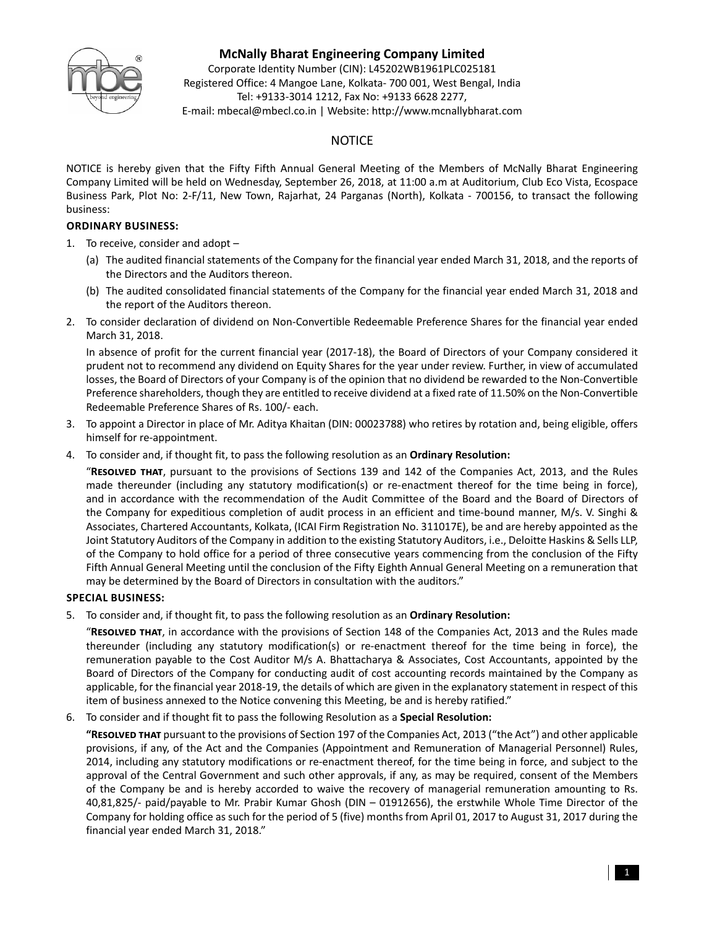

# **McNally Bharat Engineering Company Limited**

Corporate Identity Number (CIN): L45202WB1961PLC025181 Registered Office: 4 Mangoe Lane, Kolkata- 700 001, West Bengal, India Tel: +9133-3014 1212, Fax No: +9133 6628 2277, E-mail: mbecal@mbecl.co.in | Website: http://www.mcnallybharat.com

# **NOTICE**

NOTICE is hereby given that the Fifty Fifth Annual General Meeting of the Members of McNally Bharat Engineering Company Limited will be held on Wednesday, September 26, 2018, at 11:00 a.m at Auditorium, Club Eco Vista, Ecospace Business Park, Plot No: 2-F/11, New Town, Rajarhat, 24 Parganas (North), Kolkata - 700156, to transact the following business:

# **ORDINARY BUSINESS:**

- 1. To receive, consider and adopt
	- (a) The audited financial statements of the Company for the financial year ended March 31, 2018, and the reports of the Directors and the Auditors thereon.
	- (b) The audited consolidated financial statements of the Company for the financial year ended March 31, 2018 and the report of the Auditors thereon.
- 2. To consider declaration of dividend on Non-Convertible Redeemable Preference Shares for the financial year ended March 31, 2018.

 In absence of profit for the current financial year (2017-18), the Board of Directors of your Company considered it prudent not to recommend any dividend on Equity Shares for the year under review. Further, in view of accumulated losses, the Board of Directors of your Company is of the opinion that no dividend be rewarded to the Non-Convertible Preference shareholders, though they are entitled to receive dividend at a fixed rate of 11.50% on the Non-Convertible Redeemable Preference Shares of Rs. 100/- each.

- 3. To appoint a Director in place of Mr. Aditya Khaitan (DIN: 00023788) who retires by rotation and, being eligible, offers himself for re-appointment.
- 4. To consider and, if thought fit, to pass the following resolution as an **Ordinary Resolution:**

"RESOLVED THAT, pursuant to the provisions of Sections 139 and 142 of the Companies Act, 2013, and the Rules made thereunder (including any statutory modification(s) or re-enactment thereof for the time being in force), and in accordance with the recommendation of the Audit Committee of the Board and the Board of Directors of the Company for expeditious completion of audit process in an efficient and time-bound manner, M/s. V. Singhi & Associates, Chartered Accountants, Kolkata, (ICAI Firm Registration No. 311017E), be and are hereby appointed as the Joint Statutory Auditors of the Company in addition to the existing Statutory Auditors, i.e., Deloitte Haskins & Sells LLP, of the Company to hold office for a period of three consecutive years commencing from the conclusion of the Fifty Fifth Annual General Meeting until the conclusion of the Fifty Eighth Annual General Meeting on a remuneration that may be determined by the Board of Directors in consultation with the auditors."

# **SPECIAL BUSINESS:**

5. To consider and, if thought fit, to pass the following resolution as an **Ordinary Resolution:**

"RESOLVED THAT, in accordance with the provisions of Section 148 of the Companies Act, 2013 and the Rules made thereunder (including any statutory modification(s) or re-enactment thereof for the time being in force), the remuneration payable to the Cost Auditor M/s A. Bhattacharya & Associates, Cost Accountants, appointed by the Board of Directors of the Company for conducting audit of cost accounting records maintained by the Company as applicable, for the financial year 2018-19, the details of which are given in the explanatory statement in respect of this item of business annexed to the Notice convening this Meeting, be and is hereby ratified."

6. To consider and if thought fit to pass the following Resolution as a **Special Resolution:**

**"RESOLVED THAT** pursuant to the provisions of Section 197 of the Companies Act, 2013 ("the Act") and other applicable provisions, if any, of the Act and the Companies (Appointment and Remuneration of Managerial Personnel) Rules, 2014, including any statutory modifications or re-enactment thereof, for the time being in force, and subject to the approval of the Central Government and such other approvals, if any, as may be required, consent of the Members of the Company be and is hereby accorded to waive the recovery of managerial remuneration amounting to Rs. 40,81,825/- paid/payable to Mr. Prabir Kumar Ghosh (DIN – 01912656), the erstwhile Whole Time Director of the Company for holding office as such for the period of 5 (five) months from April 01, 2017 to August 31, 2017 during the financial year ended March 31, 2018."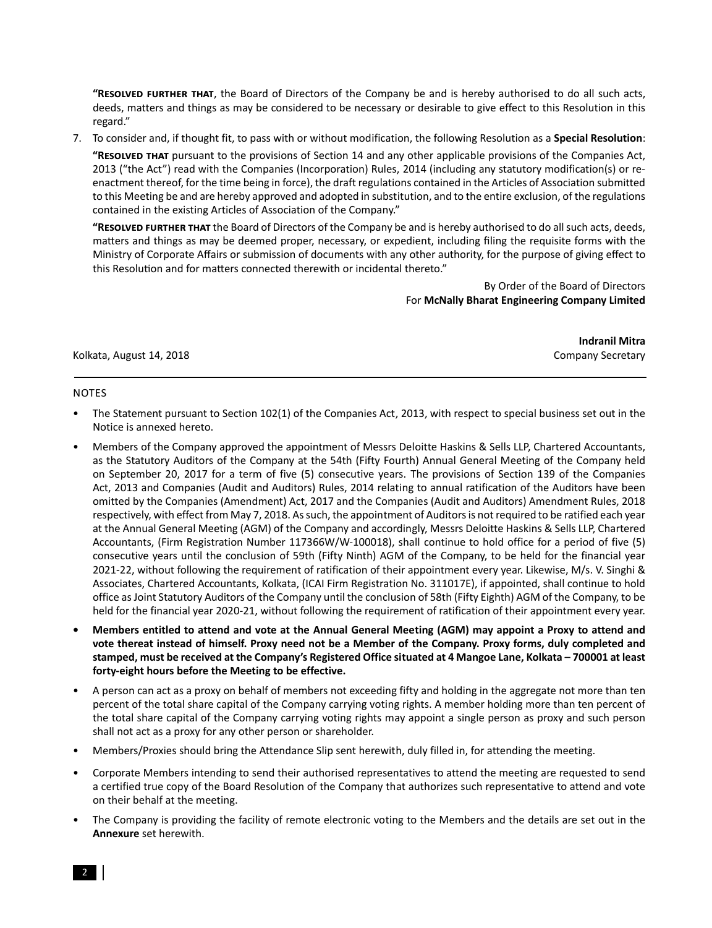**"RESOLVED FURTHER THAT**, the Board of Directors of the Company be and is hereby authorised to do all such acts, deeds, matters and things as may be considered to be necessary or desirable to give effect to this Resolution in this regard."

7. To consider and, if thought fit, to pass with or without modification, the following Resolution as a **Special Resolution**:

"RESOLVED THAT pursuant to the provisions of Section 14 and any other applicable provisions of the Companies Act, 2013 ("the Act") read with the Companies (Incorporation) Rules, 2014 (including any statutory modification(s) or reenactment thereof, for the time being in force), the draft regulations contained in the Articles of Association submitted to this Meeting be and are hereby approved and adopted in substitution, and to the entire exclusion, of the regulations contained in the existing Articles of Association of the Company."

"RESOLVED FURTHER THAT the Board of Directors of the Company be and is hereby authorised to do all such acts, deeds, matters and things as may be deemed proper, necessary, or expedient, including filing the requisite forms with the Ministry of Corporate Affairs or submission of documents with any other authority, for the purpose of giving effect to this Resolution and for matters connected therewith or incidental thereto."

> By Order of the Board of Directors For **McNally Bharat Engineering Company Limited**

Kolkata, August 14, 2018 Company Secretary

**Indranil Mitra**

#### NOTES

- The Statement pursuant to Section 102(1) of the Companies Act, 2013, with respect to special business set out in the Notice is annexed hereto.
- Members of the Company approved the appointment of Messrs Deloitte Haskins & Sells LLP, Chartered Accountants, as the Statutory Auditors of the Company at the 54th (Fifty Fourth) Annual General Meeting of the Company held on September 20, 2017 for a term of five (5) consecutive years. The provisions of Section 139 of the Companies Act, 2013 and Companies (Audit and Auditors) Rules, 2014 relating to annual ratification of the Auditors have been omitted by the Companies (Amendment) Act, 2017 and the Companies (Audit and Auditors) Amendment Rules, 2018 respectively, with effect from May 7, 2018. As such, the appointment of Auditors is not required to be ratified each year at the Annual General Meeting (AGM) of the Company and accordingly, Messrs Deloitte Haskins & Sells LLP, Chartered Accountants, (Firm Registration Number 117366W/W-100018), shall continue to hold office for a period of five (5) consecutive years until the conclusion of 59th (Fifty Ninth) AGM of the Company, to be held for the financial year 2021-22, without following the requirement of ratification of their appointment every year. Likewise, M/s. V. Singhi & Associates, Chartered Accountants, Kolkata, (ICAI Firm Registration No. 311017E), if appointed, shall continue to hold office as Joint Statutory Auditors of the Company until the conclusion of 58th (Fifty Eighth) AGM of the Company, to be held for the financial year 2020-21, without following the requirement of ratification of their appointment every year.
- **Members entitled to attend and vote at the Annual General Meeting (AGM) may appoint a Proxy to attend and vote thereat instead of himself. Proxy need not be a Member of the Company. Proxy forms, duly completed and stamped, must be received at the Company's Registered Office situated at 4 Mangoe Lane, Kolkata – 700001 at least forty-eight hours before the Meeting to be effective.**
- A person can act as a proxy on behalf of members not exceeding fifty and holding in the aggregate not more than ten percent of the total share capital of the Company carrying voting rights. A member holding more than ten percent of the total share capital of the Company carrying voting rights may appoint a single person as proxy and such person shall not act as a proxy for any other person or shareholder.
- Members/Proxies should bring the Attendance Slip sent herewith, duly filled in, for attending the meeting.
- Corporate Members intending to send their authorised representatives to attend the meeting are requested to send a certified true copy of the Board Resolution of the Company that authorizes such representative to attend and vote on their behalf at the meeting.
- The Company is providing the facility of remote electronic voting to the Members and the details are set out in the **Annexure** set herewith.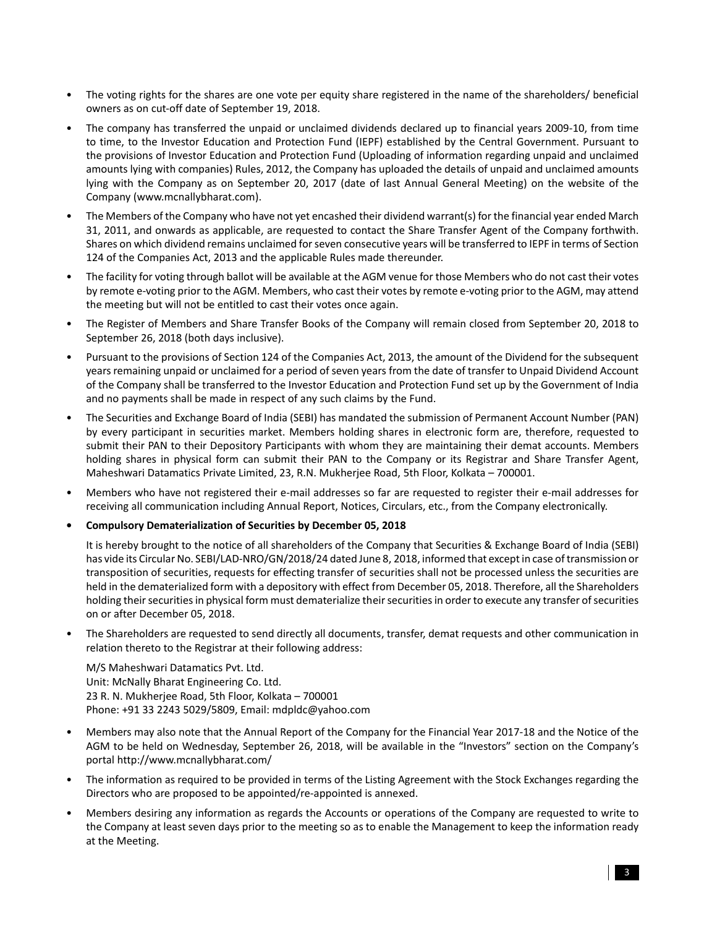- The voting rights for the shares are one vote per equity share registered in the name of the shareholders/ beneficial owners as on cut-off date of September 19, 2018.
- The company has transferred the unpaid or unclaimed dividends declared up to financial years 2009-10, from time to time, to the Investor Education and Protection Fund (IEPF) established by the Central Government. Pursuant to the provisions of Investor Education and Protection Fund (Uploading of information regarding unpaid and unclaimed amounts lying with companies) Rules, 2012, the Company has uploaded the details of unpaid and unclaimed amounts lying with the Company as on September 20, 2017 (date of last Annual General Meeting) on the website of the Company (www.mcnallybharat.com).
- The Members of the Company who have not yet encashed their dividend warrant(s) for the financial year ended March 31, 2011, and onwards as applicable, are requested to contact the Share Transfer Agent of the Company forthwith. Shares on which dividend remains unclaimed for seven consecutive years will be transferred to IEPF in terms of Section 124 of the Companies Act, 2013 and the applicable Rules made thereunder.
- The facility for voting through ballot will be available at the AGM venue for those Members who do not cast their votes by remote e-voting prior to the AGM. Members, who cast their votes by remote e-voting prior to the AGM, may attend the meeting but will not be entitled to cast their votes once again.
- The Register of Members and Share Transfer Books of the Company will remain closed from September 20, 2018 to September 26, 2018 (both days inclusive).
- Pursuant to the provisions of Section 124 of the Companies Act, 2013, the amount of the Dividend for the subsequent years remaining unpaid or unclaimed for a period of seven years from the date of transfer to Unpaid Dividend Account of the Company shall be transferred to the Investor Education and Protection Fund set up by the Government of India and no payments shall be made in respect of any such claims by the Fund.
- The Securities and Exchange Board of India (SEBI) has mandated the submission of Permanent Account Number (PAN) by every participant in securities market. Members holding shares in electronic form are, therefore, requested to submit their PAN to their Depository Participants with whom they are maintaining their demat accounts. Members holding shares in physical form can submit their PAN to the Company or its Registrar and Share Transfer Agent, Maheshwari Datamatics Private Limited, 23, R.N. Mukherjee Road, 5th Floor, Kolkata – 700001.
- Members who have not registered their e-mail addresses so far are requested to register their e-mail addresses for receiving all communication including Annual Report, Notices, Circulars, etc., from the Company electronically.
- **Compulsory Dematerialization of Securities by December 05, 2018**

 It is hereby brought to the notice of all shareholders of the Company that Securities & Exchange Board of India (SEBI) has vide its Circular No. SEBI/LAD-NRO/GN/2018/24 dated June 8, 2018, informed that except in case of transmission or transposition of securities, requests for effecting transfer of securities shall not be processed unless the securities are held in the dematerialized form with a depository with effect from December 05, 2018. Therefore, all the Shareholders holding their securities in physical form must dematerialize their securities in order to execute any transfer of securities on or after December 05, 2018.

• The Shareholders are requested to send directly all documents, transfer, demat requests and other communication in relation thereto to the Registrar at their following address:

 M/S Maheshwari Datamatics Pvt. Ltd. Unit: McNally Bharat Engineering Co. Ltd. 23 R. N. Mukherjee Road, 5th Floor, Kolkata – 700001 Phone: +91 33 2243 5029/5809, Email: mdpldc@yahoo.com

- Members may also note that the Annual Report of the Company for the Financial Year 2017-18 and the Notice of the AGM to be held on Wednesday, September 26, 2018, will be available in the "Investors" section on the Company's portal http://www.mcnallybharat.com/
- The information as required to be provided in terms of the Listing Agreement with the Stock Exchanges regarding the Directors who are proposed to be appointed/re-appointed is annexed.
- Members desiring any information as regards the Accounts or operations of the Company are requested to write to the Company at least seven days prior to the meeting so as to enable the Management to keep the information ready at the Meeting.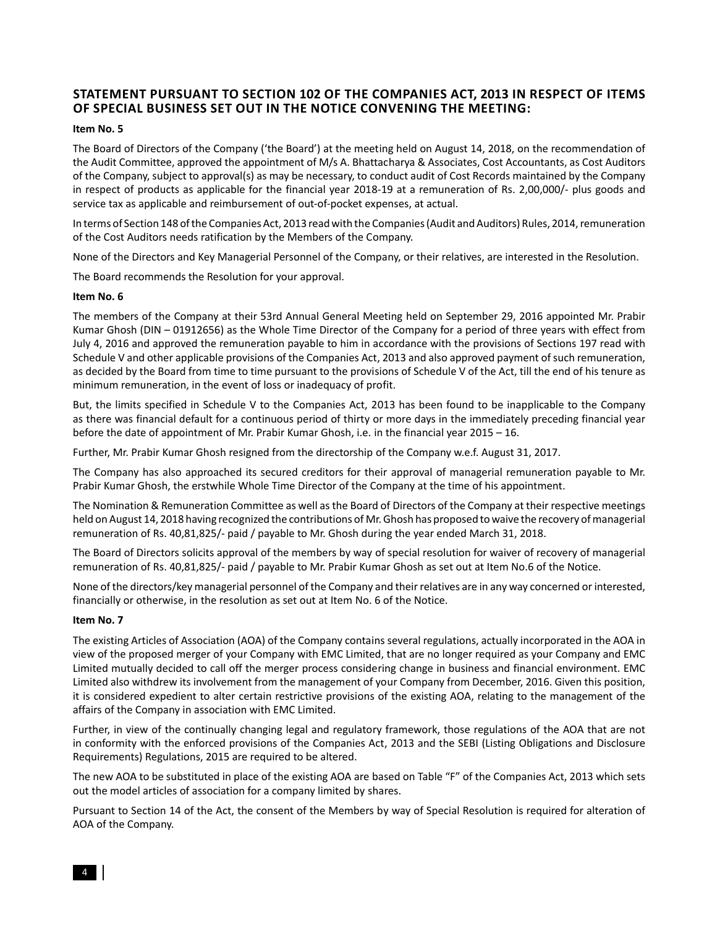# **STATEMENT PURSUANT TO SECTION 102 OF THE COMPANIES ACT, 2013 IN RESPECT OF ITEMS OF SPECIAL BUSINESS SET OUT IN THE NOTICE CONVENING THE MEETING:**

#### **Item No. 5**

The Board of Directors of the Company ('the Board') at the meeting held on August 14, 2018, on the recommendation of the Audit Committee, approved the appointment of M/s A. Bhattacharya & Associates, Cost Accountants, as Cost Auditors of the Company, subject to approval(s) as may be necessary, to conduct audit of Cost Records maintained by the Company in respect of products as applicable for the financial year 2018-19 at a remuneration of Rs. 2,00,000/- plus goods and service tax as applicable and reimbursement of out-of-pocket expenses, at actual.

In terms of Section 148 of the Companies Act, 2013 read with the Companies (Audit and Auditors) Rules, 2014, remuneration of the Cost Auditors needs ratification by the Members of the Company.

None of the Directors and Key Managerial Personnel of the Company, or their relatives, are interested in the Resolution.

The Board recommends the Resolution for your approval.

#### **Item No. 6**

The members of the Company at their 53rd Annual General Meeting held on September 29, 2016 appointed Mr. Prabir Kumar Ghosh (DIN – 01912656) as the Whole Time Director of the Company for a period of three years with effect from July 4, 2016 and approved the remuneration payable to him in accordance with the provisions of Sections 197 read with Schedule V and other applicable provisions of the Companies Act, 2013 and also approved payment of such remuneration, as decided by the Board from time to time pursuant to the provisions of Schedule V of the Act, till the end of his tenure as minimum remuneration, in the event of loss or inadequacy of profit.

But, the limits specified in Schedule V to the Companies Act, 2013 has been found to be inapplicable to the Company as there was financial default for a continuous period of thirty or more days in the immediately preceding financial year before the date of appointment of Mr. Prabir Kumar Ghosh, i.e. in the financial year 2015 – 16.

Further, Mr. Prabir Kumar Ghosh resigned from the directorship of the Company w.e.f. August 31, 2017.

The Company has also approached its secured creditors for their approval of managerial remuneration payable to Mr. Prabir Kumar Ghosh, the erstwhile Whole Time Director of the Company at the time of his appointment.

The Nomination & Remuneration Committee as well as the Board of Directors of the Company at their respective meetings held on August 14, 2018 having recognized the contributions of Mr. Ghosh has proposed to waive the recovery of managerial remuneration of Rs. 40,81,825/- paid / payable to Mr. Ghosh during the year ended March 31, 2018.

The Board of Directors solicits approval of the members by way of special resolution for waiver of recovery of managerial remuneration of Rs. 40,81,825/- paid / payable to Mr. Prabir Kumar Ghosh as set out at Item No.6 of the Notice.

None of the directors/key managerial personnel of the Company and their relatives are in any way concerned or interested, financially or otherwise, in the resolution as set out at Item No. 6 of the Notice.

#### **Item No. 7**

The existing Articles of Association (AOA) of the Company contains several regulations, actually incorporated in the AOA in view of the proposed merger of your Company with EMC Limited, that are no longer required as your Company and EMC Limited mutually decided to call off the merger process considering change in business and financial environment. EMC Limited also withdrew its involvement from the management of your Company from December, 2016. Given this position, it is considered expedient to alter certain restrictive provisions of the existing AOA, relating to the management of the affairs of the Company in association with EMC Limited.

Further, in view of the continually changing legal and regulatory framework, those regulations of the AOA that are not in conformity with the enforced provisions of the Companies Act, 2013 and the SEBI (Listing Obligations and Disclosure Requirements) Regulations, 2015 are required to be altered.

The new AOA to be substituted in place of the existing AOA are based on Table "F" of the Companies Act, 2013 which sets out the model articles of association for a company limited by shares.

Pursuant to Section 14 of the Act, the consent of the Members by way of Special Resolution is required for alteration of AOA of the Company.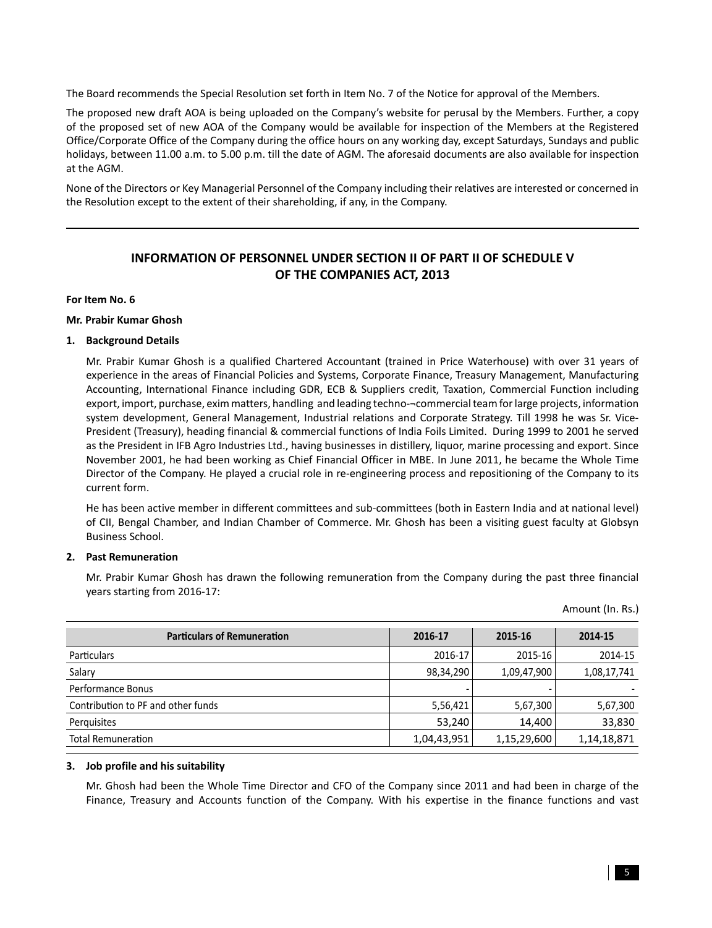The Board recommends the Special Resolution set forth in Item No. 7 of the Notice for approval of the Members.

The proposed new draft AOA is being uploaded on the Company's website for perusal by the Members. Further, a copy of the proposed set of new AOA of the Company would be available for inspection of the Members at the Registered Office/Corporate Office of the Company during the office hours on any working day, except Saturdays, Sundays and public holidays, between 11.00 a.m. to 5.00 p.m. till the date of AGM. The aforesaid documents are also available for inspection at the AGM.

None of the Directors or Key Managerial Personnel of the Company including their relatives are interested or concerned in the Resolution except to the extent of their shareholding, if any, in the Company.

# **INFORMATION OF PERSONNEL UNDER SECTION II OF PART II OF SCHEDULE V OF THE COMPANIES ACT, 2013**

#### **For Item No. 6**

#### **Mr. Prabir Kumar Ghosh**

#### **1. Background Details**

 Mr. Prabir Kumar Ghosh is a qualified Chartered Accountant (trained in Price Waterhouse) with over 31 years of experience in the areas of Financial Policies and Systems, Corporate Finance, Treasury Management, Manufacturing Accounting, International Finance including GDR, ECB & Suppliers credit, Taxation, Commercial Function including export, import, purchase, exim matters, handling and leading techno-¬commercial team for large projects, information system development, General Management, Industrial relations and Corporate Strategy. Till 1998 he was Sr. Vice-President (Treasury), heading financial & commercial functions of India Foils Limited. During 1999 to 2001 he served as the President in IFB Agro Industries Ltd., having businesses in distillery, liquor, marine processing and export. Since November 2001, he had been working as Chief Financial Officer in MBE. In June 2011, he became the Whole Time Director of the Company. He played a crucial role in re-engineering process and repositioning of the Company to its current form.

 He has been active member in different committees and sub-committees (both in Eastern India and at national level) of CII, Bengal Chamber, and Indian Chamber of Commerce. Mr. Ghosh has been a visiting guest faculty at Globsyn Business School.

#### **2. Past Remuneration**

 Mr. Prabir Kumar Ghosh has drawn the following remuneration from the Company during the past three financial years starting from 2016-17:

| <b>Particulars of Remuneration</b> | 2016-17     | 2015-16     | 2014-15     |
|------------------------------------|-------------|-------------|-------------|
| Particulars                        | 2016-17     | 2015-16     | 2014-15     |
| Salary                             | 98,34,290   | 1,09,47,900 | 1,08,17,741 |
| Performance Bonus                  |             |             |             |
| Contribution to PF and other funds | 5,56,421    | 5,67,300    | 5,67,300    |
| Perquisites                        | 53,240      | 14.400      | 33,830      |
| <b>Total Remuneration</b>          | 1,04,43,951 | 1,15,29,600 | 1,14,18,871 |

#### **3. Job profile and his suitability**

 Mr. Ghosh had been the Whole Time Director and CFO of the Company since 2011 and had been in charge of the Finance, Treasury and Accounts function of the Company. With his expertise in the finance functions and vast

Amount (In. Rs.)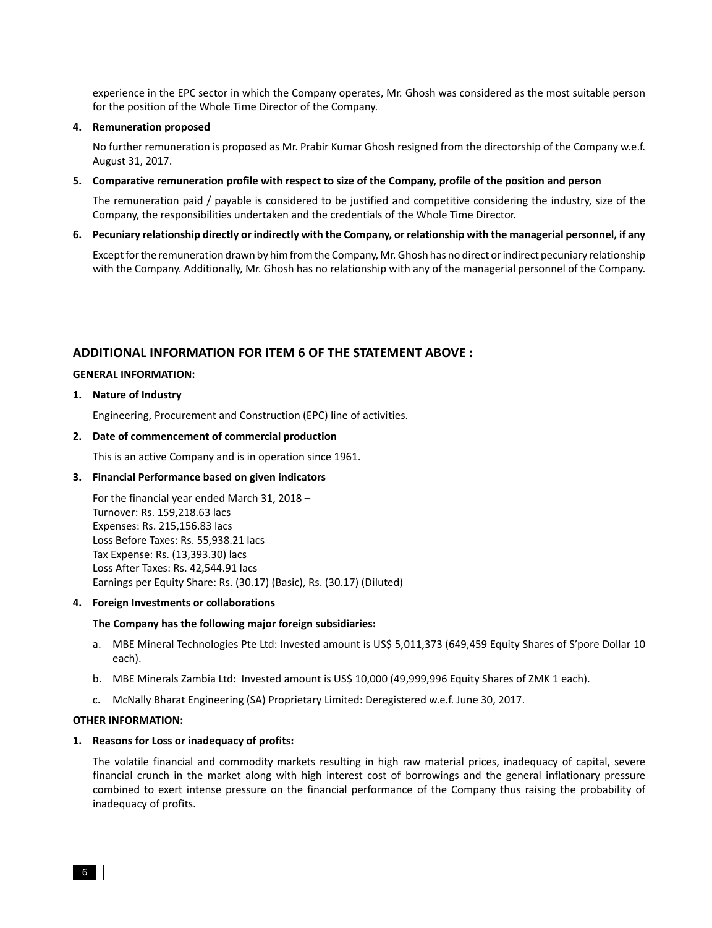experience in the EPC sector in which the Company operates, Mr. Ghosh was considered as the most suitable person for the position of the Whole Time Director of the Company.

#### **4. Remuneration proposed**

 No further remuneration is proposed as Mr. Prabir Kumar Ghosh resigned from the directorship of the Company w.e.f. August 31, 2017.

**5. Comparative remuneration profile with respect to size of the Company, profile of the position and person**

 The remuneration paid / payable is considered to be justified and competitive considering the industry, size of the Company, the responsibilities undertaken and the credentials of the Whole Time Director.

**6. Pecuniary relationship directly or indirectly with the Company, or relationship with the managerial personnel, if any**

 Except for the remuneration drawn by him from the Company, Mr. Ghosh has no direct or indirect pecuniary relationship with the Company. Additionally, Mr. Ghosh has no relationship with any of the managerial personnel of the Company.

# **ADDITIONAL INFORMATION FOR ITEM 6 OF THE STATEMENT ABOVE :**

### **GENERAL INFORMATION:**

**1. Nature of Industry**

Engineering, Procurement and Construction (EPC) line of activities.

### **2. Date of commencement of commercial production**

This is an active Company and is in operation since 1961.

### **3. Financial Performance based on given indicators**

 For the financial year ended March 31, 2018 – Turnover: Rs. 159,218.63 lacs Expenses: Rs. 215,156.83 lacs Loss Before Taxes: Rs. 55,938.21 lacs Tax Expense: Rs. (13,393.30) lacs Loss After Taxes: Rs. 42,544.91 lacs Earnings per Equity Share: Rs. (30.17) (Basic), Rs. (30.17) (Diluted)

### **4. Foreign Investments or collaborations**

### **The Company has the following major foreign subsidiaries:**

- a. MBE Mineral Technologies Pte Ltd: Invested amount is US\$ 5,011,373 (649,459 Equity Shares of S'pore Dollar 10 each).
- b. MBE Minerals Zambia Ltd: Invested amount is US\$ 10,000 (49,999,996 Equity Shares of ZMK 1 each).
- c. McNally Bharat Engineering (SA) Proprietary Limited: Deregistered w.e.f. June 30, 2017.

### **OTHER INFORMATION:**

### **1. Reasons for Loss or inadequacy of profits:**

 The volatile financial and commodity markets resulting in high raw material prices, inadequacy of capital, severe financial crunch in the market along with high interest cost of borrowings and the general inflationary pressure combined to exert intense pressure on the financial performance of the Company thus raising the probability of inadequacy of profits.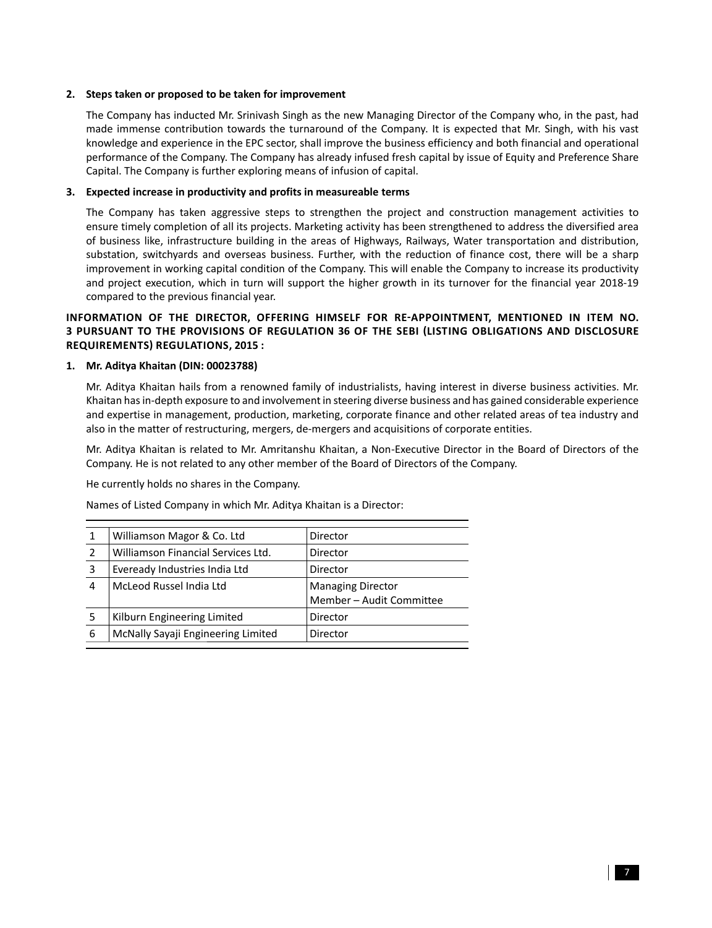## **2. Steps taken or proposed to be taken for improvement**

 The Company has inducted Mr. Srinivash Singh as the new Managing Director of the Company who, in the past, had made immense contribution towards the turnaround of the Company. It is expected that Mr. Singh, with his vast knowledge and experience in the EPC sector, shall improve the business efficiency and both financial and operational performance of the Company. The Company has already infused fresh capital by issue of Equity and Preference Share Capital. The Company is further exploring means of infusion of capital.

## **3. Expected increase in productivity and profits in measureable terms**

 The Company has taken aggressive steps to strengthen the project and construction management activities to ensure timely completion of all its projects. Marketing activity has been strengthened to address the diversified area of business like, infrastructure building in the areas of Highways, Railways, Water transportation and distribution, substation, switchyards and overseas business. Further, with the reduction of finance cost, there will be a sharp improvement in working capital condition of the Company. This will enable the Company to increase its productivity and project execution, which in turn will support the higher growth in its turnover for the financial year 2018-19 compared to the previous financial year.

## INFORMATION OF THE DIRECTOR, OFFERING HIMSELF FOR RE-APPOINTMENT, MENTIONED IN ITEM NO. **3 PURSUANT TO THE PROVISIONS OF REGULATION 36 OF THE SEBI (LISTING OBLIGATIONS AND DISCLOSURE REQUIREMENTS) REGULATIONS, 2015 :**

## **1. Mr. Aditya Khaitan (DIN: 00023788)**

 Mr. Aditya Khaitan hails from a renowned family of industrialists, having interest in diverse business activities. Mr. Khaitan has in-depth exposure to and involvement in steering diverse business and has gained considerable experience and expertise in management, production, marketing, corporate finance and other related areas of tea industry and also in the matter of restructuring, mergers, de-mergers and acquisitions of corporate entities.

 Mr. Aditya Khaitan is related to Mr. Amritanshu Khaitan, a Non-Executive Director in the Board of Directors of the Company. He is not related to any other member of the Board of Directors of the Company.

He currently holds no shares in the Company.

Names of Listed Company in which Mr. Aditya Khaitan is a Director:

|   | Williamson Magor & Co. Ltd         | Director                                             |
|---|------------------------------------|------------------------------------------------------|
| 2 | Williamson Financial Services Ltd. | Director                                             |
| 3 | Eveready Industries India Ltd      | Director                                             |
| 4 | McLeod Russel India Ltd            | <b>Managing Director</b><br>Member - Audit Committee |
| 5 | Kilburn Engineering Limited        | Director                                             |
| 6 | McNally Sayaji Engineering Limited | Director                                             |
|   |                                    |                                                      |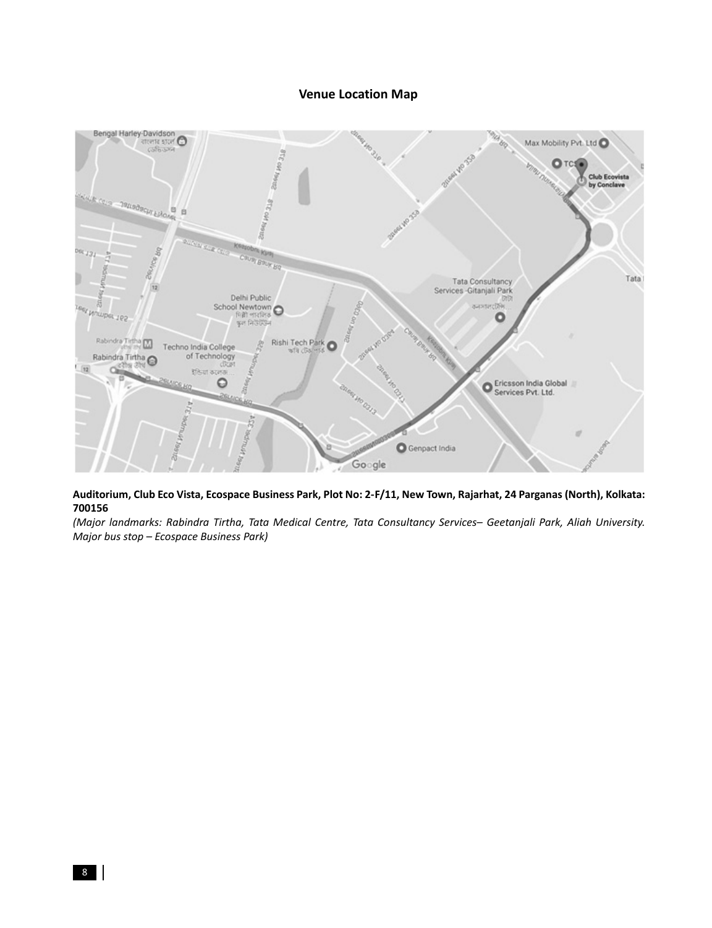## **Venue Location Map**



**Auditorium, Club Eco Vista, Ecospace Business Park, Plot No: 2-F/11, New Town, Rajarhat, 24 Parganas (North), Kolkata: 700156**

*(Major landmarks: Rabindra Tirtha, Tata Medical Centre, Tata Consultancy Services– Geetanjali Park, Aliah University. Major bus stop – Ecospace Business Park)*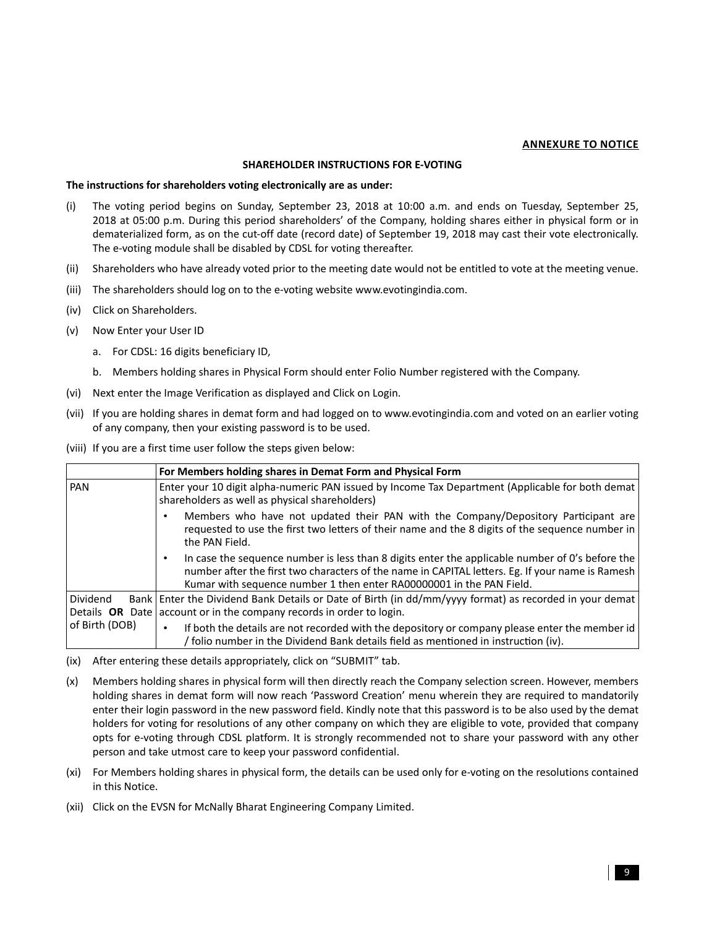## **ANNEXURE TO NOTICE**

### **SHAREHOLDER INSTRUCTIONS FOR E-VOTING**

#### **The instructions for shareholders voting electronically are as under:**

- (i) The voting period begins on Sunday, September 23, 2018 at 10:00 a.m. and ends on Tuesday, September 25, 2018 at 05:00 p.m. During this period shareholders' of the Company, holding shares either in physical form or in dematerialized form, as on the cut-off date (record date) of September 19, 2018 may cast their vote electronically. The e-voting module shall be disabled by CDSL for voting thereafter.
- (ii) Shareholders who have already voted prior to the meeting date would not be entitled to vote at the meeting venue.
- (iii) The shareholders should log on to the e-voting website www.evotingindia.com.
- (iv) Click on Shareholders.
- (v) Now Enter your User ID
	- a. For CDSL: 16 digits beneficiary ID,
	- b. Members holding shares in Physical Form should enter Folio Number registered with the Company.
- (vi) Next enter the Image Verification as displayed and Click on Login.
- (vii) If you are holding shares in demat form and had logged on to www.evotingindia.com and voted on an earlier voting of any company, then your existing password is to be used.
- (viii) If you are a first time user follow the steps given below:

|                | For Members holding shares in Demat Form and Physical Form                                                                                                                                                                                                                  |  |  |
|----------------|-----------------------------------------------------------------------------------------------------------------------------------------------------------------------------------------------------------------------------------------------------------------------------|--|--|
| <b>PAN</b>     | Enter your 10 digit alpha-numeric PAN issued by Income Tax Department (Applicable for both demat<br>shareholders as well as physical shareholders)                                                                                                                          |  |  |
|                | Members who have not updated their PAN with the Company/Depository Participant are<br>requested to use the first two letters of their name and the 8 digits of the sequence number in<br>the PAN Field.                                                                     |  |  |
|                | In case the sequence number is less than 8 digits enter the applicable number of 0's before the<br>number after the first two characters of the name in CAPITAL letters. Eg. If your name is Ramesh<br>Kumar with sequence number 1 then enter RA00000001 in the PAN Field. |  |  |
| Dividend       | Bank   Enter the Dividend Bank Details or Date of Birth (in $dd/mm/$ yyy format) as recorded in your demat<br>Details OR Date $ $ account or in the company records in order to login.                                                                                      |  |  |
| of Birth (DOB) | If both the details are not recorded with the depository or company please enter the member id<br>/ folio number in the Dividend Bank details field as mentioned in instruction (iv).                                                                                       |  |  |

- (ix) After entering these details appropriately, click on "SUBMIT" tab.
- (x) Members holding shares in physical form will then directly reach the Company selection screen. However, members holding shares in demat form will now reach 'Password Creation' menu wherein they are required to mandatorily enter their login password in the new password field. Kindly note that this password is to be also used by the demat holders for voting for resolutions of any other company on which they are eligible to vote, provided that company opts for e-voting through CDSL platform. It is strongly recommended not to share your password with any other person and take utmost care to keep your password confidential.
- (xi) For Members holding shares in physical form, the details can be used only for e-voting on the resolutions contained in this Notice.
- (xii) Click on the EVSN for McNally Bharat Engineering Company Limited.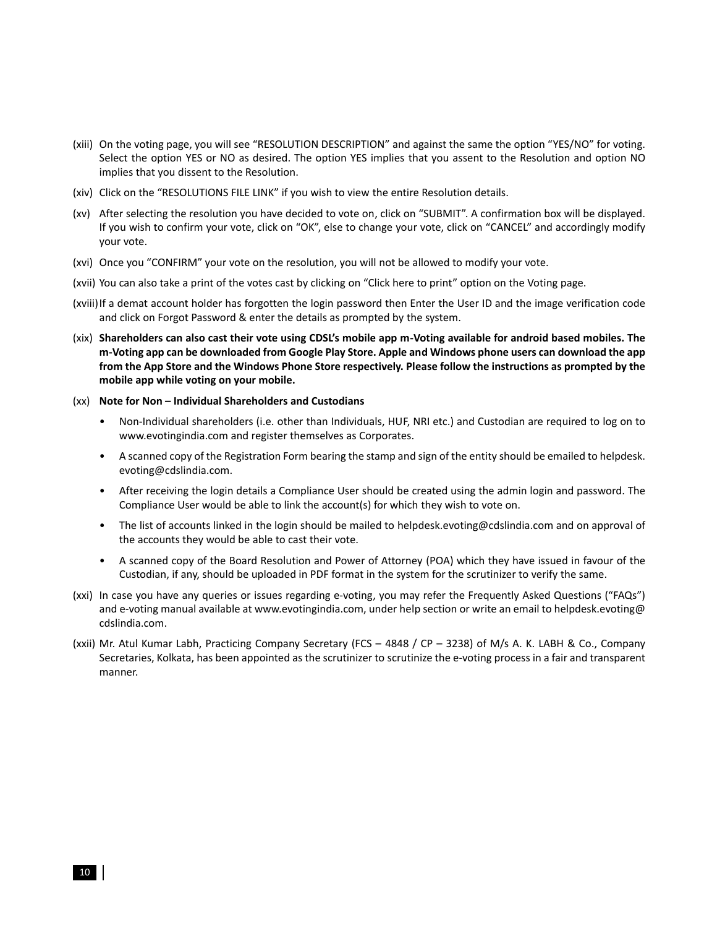- (xiii) On the voting page, you will see "RESOLUTION DESCRIPTION" and against the same the option "YES/NO" for voting. Select the option YES or NO as desired. The option YES implies that you assent to the Resolution and option NO implies that you dissent to the Resolution.
- (xiv) Click on the "RESOLUTIONS FILE LINK" if you wish to view the entire Resolution details.
- (xv) After selecting the resolution you have decided to vote on, click on "SUBMIT". A confirmation box will be displayed. If you wish to confirm your vote, click on "OK", else to change your vote, click on "CANCEL" and accordingly modify your vote.
- (xvi) Once you "CONFIRM" your vote on the resolution, you will not be allowed to modify your vote.
- (xvii) You can also take a print of the votes cast by clicking on "Click here to print" option on the Voting page.
- (xviii) If a demat account holder has forgotten the login password then Enter the User ID and the image verification code and click on Forgot Password & enter the details as prompted by the system.
- (xix) **Shareholders can also cast their vote using CDSL's mobile app m-Voting available for android based mobiles. The m-Voting app can be downloaded from Google Play Store. Apple and Windows phone users can download the app from the App Store and the Windows Phone Store respectively. Please follow the instructions as prompted by the mobile app while voting on your mobile.**
- (xx) **Note for Non Individual Shareholders and Custodians**
	- Non-Individual shareholders (i.e. other than Individuals, HUF, NRI etc.) and Custodian are required to log on to www.evotingindia.com and register themselves as Corporates.
	- A scanned copy of the Registration Form bearing the stamp and sign of the entity should be emailed to helpdesk. evoting@cdslindia.com.
	- After receiving the login details a Compliance User should be created using the admin login and password. The Compliance User would be able to link the account(s) for which they wish to vote on.
	- The list of accounts linked in the login should be mailed to helpdesk.evoting@cdslindia.com and on approval of the accounts they would be able to cast their vote.
	- A scanned copy of the Board Resolution and Power of Attorney (POA) which they have issued in favour of the Custodian, if any, should be uploaded in PDF format in the system for the scrutinizer to verify the same.
- (xxi) In case you have any queries or issues regarding e-voting, you may refer the Frequently Asked Questions ("FAQs") and e-voting manual available at www.evotingindia.com, under help section or write an email to helpdesk.evoting@ cdslindia.com.
- (xxii) Mr. Atul Kumar Labh, Practicing Company Secretary (FCS 4848 / CP 3238) of M/s A. K. LABH & Co., Company Secretaries, Kolkata, has been appointed as the scrutinizer to scrutinize the e-voting process in a fair and transparent manner.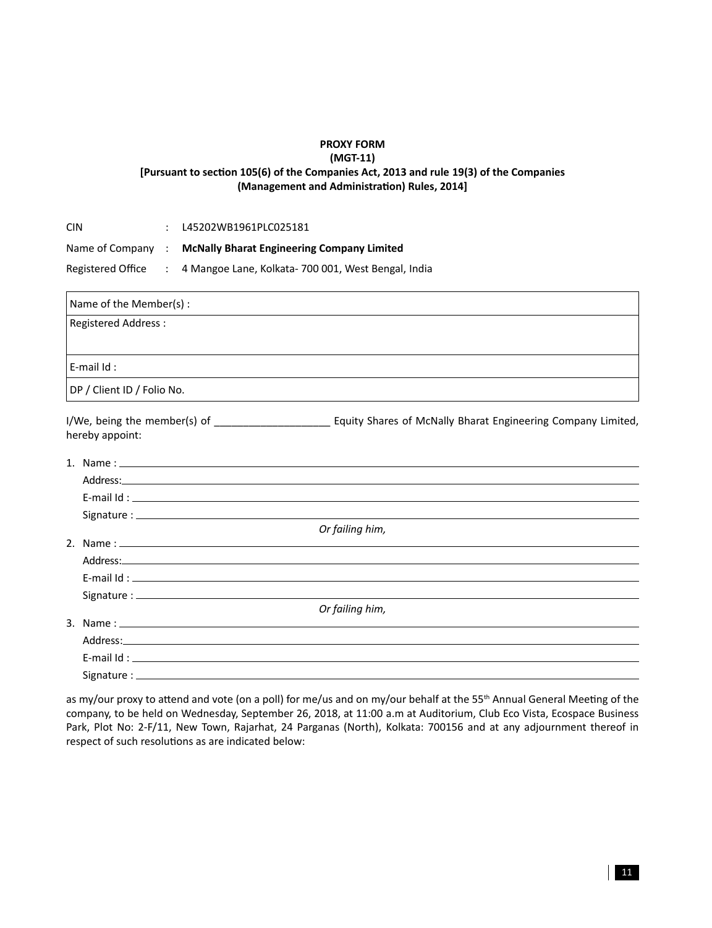# **PROXY FORM (MGT-11)**

# [Pursuant to section 105(6) of the Companies Act, 2013 and rule 19(3) of the Companies **(Management and AdministraƟon) Rules, 2014]**

| CIN                    |                                                                                  | L45202WB1961PLC025181                             |
|------------------------|----------------------------------------------------------------------------------|---------------------------------------------------|
| Name of Company        | $\ddot{\phantom{a}}$                                                             | <b>McNally Bharat Engineering Company Limited</b> |
| Registered Office      | 4 Mangoe Lane, Kolkata- 700 001, West Bengal, India<br>$\mathbb{Z}^{\mathbb{Z}}$ |                                                   |
| Name of the Member(s): |                                                                                  |                                                   |
| Registered Address :   |                                                                                  |                                                   |
|                        |                                                                                  |                                                   |
| E-mail $Id$ :          |                                                                                  |                                                   |
|                        |                                                                                  |                                                   |

DP / Client ID / Folio No.

I/We, being the member(s) of \_\_\_\_\_\_\_\_\_\_\_\_\_\_\_\_\_\_\_\_\_\_\_\_ Equity Shares of McNally Bharat Engineering Company Limited, hereby appoint:

| Address: Note and the contract of the contract of the contract of the contract of the contract of the contract of the contract of the contract of the contract of the contract of the contract of the contract of the contract |
|--------------------------------------------------------------------------------------------------------------------------------------------------------------------------------------------------------------------------------|
|                                                                                                                                                                                                                                |
|                                                                                                                                                                                                                                |
| Or failing him,                                                                                                                                                                                                                |
|                                                                                                                                                                                                                                |
|                                                                                                                                                                                                                                |
|                                                                                                                                                                                                                                |
|                                                                                                                                                                                                                                |
| Or failing him,                                                                                                                                                                                                                |
|                                                                                                                                                                                                                                |
|                                                                                                                                                                                                                                |
|                                                                                                                                                                                                                                |
|                                                                                                                                                                                                                                |

as my/our proxy to attend and vote (on a poll) for me/us and on my/our behalf at the 55<sup>th</sup> Annual General Meeting of the company, to be held on Wednesday, September 26, 2018, at 11:00 a.m at Auditorium, Club Eco Vista, Ecospace Business Park, Plot No: 2-F/11, New Town, Rajarhat, 24 Parganas (North), Kolkata: 700156 and at any adjournment thereof in respect of such resolutions as are indicated below: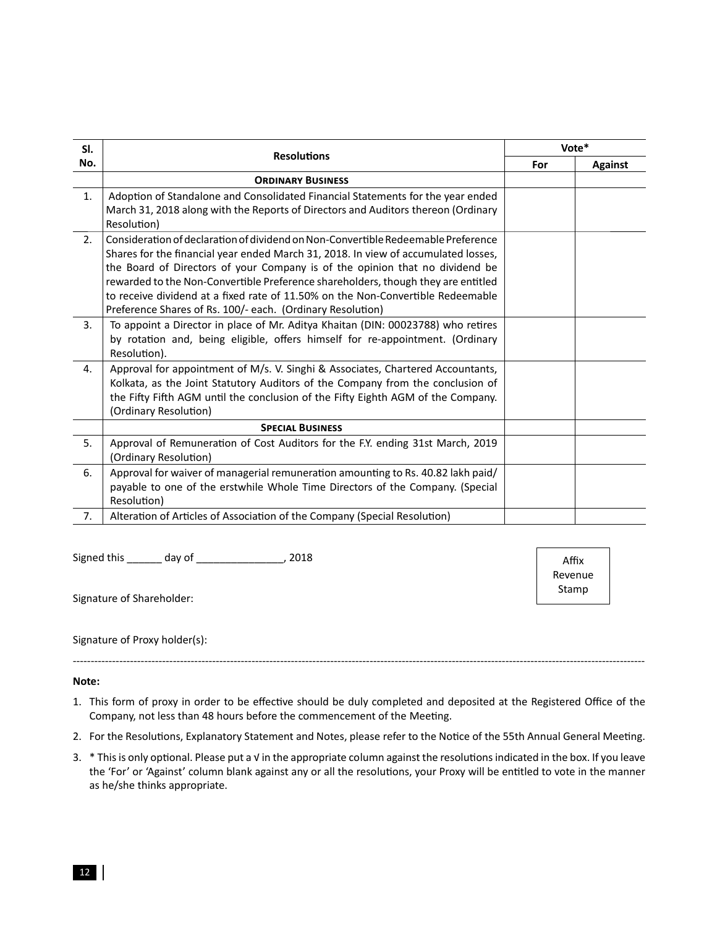| SI. |                                                                                                                                                                                                                                                                                                                                                                                                                                                                                               | Vote* |                |
|-----|-----------------------------------------------------------------------------------------------------------------------------------------------------------------------------------------------------------------------------------------------------------------------------------------------------------------------------------------------------------------------------------------------------------------------------------------------------------------------------------------------|-------|----------------|
| No. | <b>Resolutions</b>                                                                                                                                                                                                                                                                                                                                                                                                                                                                            |       | <b>Against</b> |
|     | <b>ORDINARY BUSINESS</b>                                                                                                                                                                                                                                                                                                                                                                                                                                                                      |       |                |
| 1.  | Adoption of Standalone and Consolidated Financial Statements for the year ended<br>March 31, 2018 along with the Reports of Directors and Auditors thereon (Ordinary<br>Resolution)                                                                                                                                                                                                                                                                                                           |       |                |
| 2.  | Consideration of declaration of dividend on Non-Convertible Redeemable Preference<br>Shares for the financial year ended March 31, 2018. In view of accumulated losses,<br>the Board of Directors of your Company is of the opinion that no dividend be<br>rewarded to the Non-Convertible Preference shareholders, though they are entitled<br>to receive dividend at a fixed rate of 11.50% on the Non-Convertible Redeemable<br>Preference Shares of Rs. 100/- each. (Ordinary Resolution) |       |                |
| 3.  | To appoint a Director in place of Mr. Aditya Khaitan (DIN: 00023788) who retires<br>by rotation and, being eligible, offers himself for re-appointment. (Ordinary<br>Resolution).                                                                                                                                                                                                                                                                                                             |       |                |
| 4.  | Approval for appointment of M/s. V. Singhi & Associates, Chartered Accountants,<br>Kolkata, as the Joint Statutory Auditors of the Company from the conclusion of<br>the Fifty Fifth AGM until the conclusion of the Fifty Eighth AGM of the Company.<br>(Ordinary Resolution)                                                                                                                                                                                                                |       |                |
|     | <b>SPECIAL BUSINESS</b>                                                                                                                                                                                                                                                                                                                                                                                                                                                                       |       |                |
| 5.  | Approval of Remuneration of Cost Auditors for the F.Y. ending 31st March, 2019<br>(Ordinary Resolution)                                                                                                                                                                                                                                                                                                                                                                                       |       |                |
| 6.  | Approval for waiver of managerial remuneration amounting to Rs. 40.82 lakh paid/<br>payable to one of the erstwhile Whole Time Directors of the Company. (Special<br>Resolution)                                                                                                                                                                                                                                                                                                              |       |                |
| 7.  | Alteration of Articles of Association of the Company (Special Resolution)                                                                                                                                                                                                                                                                                                                                                                                                                     |       |                |

Signed this \_\_\_\_\_\_ day of \_\_\_\_\_\_\_\_\_\_\_\_\_\_\_, 2018

Signature of Shareholder:

Signature of Proxy holder(s):

### **Note:**

1. This form of proxy in order to be effective should be duly completed and deposited at the Registered Office of the Company, not less than 48 hours before the commencement of the Meeting.

----------------------------------------------------------------------------------------------------------------------------------------------------------------

Affix Revenue Stamp

- 2. For the Resolutions, Explanatory Statement and Notes, please refer to the Notice of the 55th Annual General Meeting.
- 3. \* This is only optional. Please put a √ in the appropriate column against the resolutions indicated in the box. If you leave the 'For' or 'Against' column blank against any or all the resolutions, your Proxy will be entitled to vote in the manner as he/she thinks appropriate.